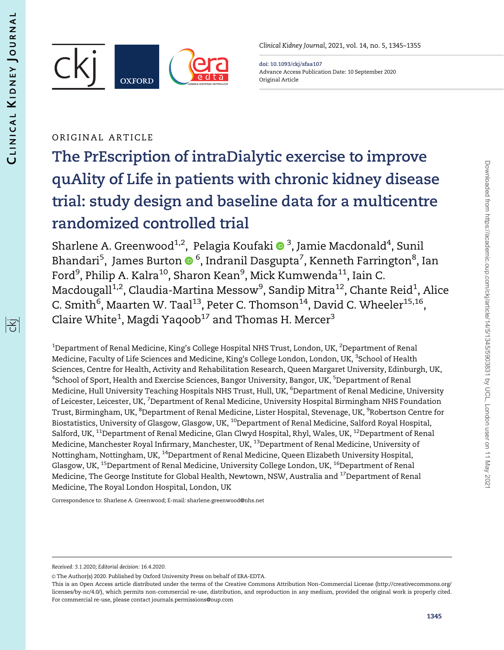阁



Clinical Kidney Journal, 2021, vol. 14, no. 5, 1345–1355

doi: 10.1093/ckj/sfaa107 Advance Access Publication Date: 10 September 2020 Original Article

## ORIGINAL ARTICLE

# The PrEscription of intraDialytic exercise to improve quAlity of Life in patients with chronic kidney disease trial: study design and baseline data for a multicentre randomized controlled trial

Sharlene A. Greenwood $^{1,2}$ , Pelagia Koufaki  $\mathbf{O}^{3}$ , Jamie Macdonald $^{4}$ , Sunil Bhandari<sup>5</sup>, James Burton ® <sup>6</sup>, Indranil Dasgupta<sup>7</sup>, Kenneth Farrington<sup>8</sup>, Ian Ford<sup>9</sup>, Philip A. Kalra<sup>10</sup>, Sharon Kean<sup>9</sup>, Mick Kumwenda<sup>11</sup>, Iain C. Macdougall $^{1,2}$ , Claudia-Martina Messow $^9$ , Sandip Mitra $^{12}$ , Chante Reid $^1$ , Alice C. Smith $^6$ , Maarten W. Taal $^{13}$ , Peter C. Thomson $^{14}$ , David C. Wheeler $^{15,16},$ Claire White $^1$ , Magdi Yaqoob $^{17}$  and Thomas H. Mercer $^3$ 

 $^{\rm 1}$ Department of Renal Medicine, King's College Hospital NHS Trust, London, UK,  $^{\rm 2}$ Department of Renal Medicine, Faculty of Life Sciences and Medicine, King's College London, London, UK, <sup>3</sup>School of Health Sciences, Centre for Health, Activity and Rehabilitation Research, Queen Margaret University, Edinburgh, UK,  $^4$ School of Sport, Health and Exercise Sciences, Bangor University, Bangor, UK,  $^5$ Department of Renal Medicine, Hull University Teaching Hospitals NHS Trust, Hull, UK, <sup>6</sup>Department of Renal Medicine, University of Leicester, Leicester, UK, <sup>7</sup>Department of Renal Medicine, University Hospital Birmingham NHS Foundation Trust, Birmingham, UK, <sup>8</sup>Department of Renal Medicine, Lister Hospital, Stevenage, UK, <sup>9</sup>Robertson Centre for Biostatistics, University of Glasgow, Glasgow, UK, <sup>10</sup>Department of Renal Medicine, Salford Royal Hospital, Salford, UK, <sup>11</sup>Department of Renal Medicine, Glan Clwyd Hospital, Rhyl, Wales, UK, <sup>12</sup>Department of Renal Medicine, Manchester Royal Infirmary, Manchester, UK, <sup>13</sup>Department of Renal Medicine, University of Nottingham, Nottingham, UK, 14Department of Renal Medicine, Queen Elizabeth University Hospital, Glasgow, UK, <sup>15</sup>Department of Renal Medicine, University College London, UK, <sup>16</sup>Department of Renal Medicine, The George Institute for Global Health, Newtown, NSW, Australia and <sup>17</sup>Department of Renal Medicine, The Royal London Hospital, London, UK

Correspondence to: Sharlene A. Greenwood; E-mail: sharlene.greenwood@nhs.net

Received: 3.1.2020; Editorial decision: 16.4.2020.

<sup>©</sup> The Author(s) 2020. Published by Oxford University Press on behalf of ERA-EDTA.

This is an Open Access article distributed under the terms of the Creative Commons Attribution Non-Commercial License (http://creativecommons.org/ licenses/by-nc/4.0/), which permits non-commercial re-use, distribution, and reproduction in any medium, provided the original work is properly cited. For commercial re-use, please contact journals.permissions@oup.com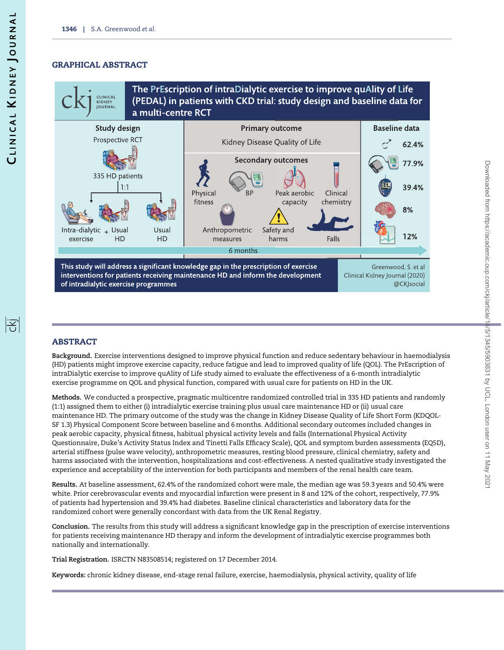## GRAPHICAL ABSTRACT

The PrEscription of intraDialytic exercise to improve quAlity of Life CLINICAL (PEDAL) in patients with CKD trial: study design and baseline data for KIDNEY<br>JOURNAL a multi-centre RCT



## ABSTRACT

Background. Exercise interventions designed to improve physical function and reduce sedentary behaviour in haemodialysis (HD) patients might improve exercise capacity, reduce fatigue and lead to improved quality of life (QOL). The PrEscription of intraDialytic exercise to improve quAlity of Life study aimed to evaluate the effectiveness of a 6-month intradialytic exercise programme on QOL and physical function, compared with usual care for patients on HD in the UK.

Methods. We conducted a prospective, pragmatic multicentre randomized controlled trial in 335 HD patients and randomly (1:1) assigned them to either (i) intradialytic exercise training plus usual care maintenance HD or (ii) usual care maintenance HD. The primary outcome of the study was the change in Kidney Disease Quality of Life Short Form (KDQOL-SF 1.3) Physical Component Score between baseline and 6 months. Additional secondary outcomes included changes in peak aerobic capacity, physical fitness, habitual physical activity levels and falls (International Physical Activity Questionnaire, Duke's Activity Status Index and Tinetti Falls Efficacy Scale), QOL and symptom burden assessments (EQ5D), arterial stiffness (pulse wave velocity), anthropometric measures, resting blood pressure, clinical chemistry, safety and harms associated with the intervention, hospitalizations and cost-effectiveness. A nested qualitative study investigated the experience and acceptability of the intervention for both participants and members of the renal health care team.

Results. At baseline assessment, 62.4% of the randomized cohort were male, the median age was 59.3 years and 50.4% were white. Prior cerebrovascular events and myocardial infarction were present in 8 and 12% of the cohort, respectively, 77.9% of patients had hypertension and 39.4% had diabetes. Baseline clinical characteristics and laboratory data for the randomized cohort were generally concordant with data from the UK Renal Registry.

Conclusion. The results from this study will address a significant knowledge gap in the prescription of exercise interventions for patients receiving maintenance HD therapy and inform the development of intradialytic exercise programmes both nationally and internationally.

Trial Registration. ISRCTN N83508514; registered on 17 December 2014.

Keywords: chronic kidney disease, end-stage renal failure, exercise, haemodialysis, physical activity, quality of life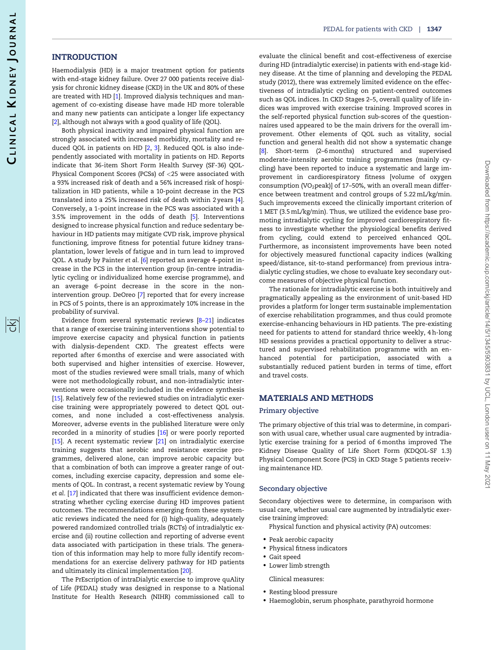阁

## <span id="page-2-0"></span>**INTRODUCTION**

Haemodialysis (HD) is a major treatment option for patients with end-stage kidney failure. Over 27 000 patients receive dialysis for chronic kidney disease (CKD) in the UK and 80% of these are treated with HD [\[1](#page-8-0)]. Improved dialysis techniques and management of co-existing disease have made HD more tolerable and many new patients can anticipate a longer life expectancy [\[2\]](#page-9-0), although not always with a good quality of life (QOL).

Both physical inactivity and impaired physical function are strongly associated with increased morbidity, mortality and reduced QOL in patients on HD [\[2,](#page-9-0) [3\]](#page-9-0). Reduced QOL is also independently associated with mortality in patients on HD. Reports indicate that 36-item Short Form Health Survey (SF-36) QOL-Physical Component Scores (PCSs) of <25 were associated with a 93% increased risk of death and a 56% increased risk of hospitalization in HD patients, while a 10-point decrease in the PCS translated into a 25% increased risk of death within 2 years [[4\]](#page-9-0). Conversely, a 1-point increase in the PCS was associated with a 3.5% improvement in the odds of death [[5\]](#page-9-0). Interventions designed to increase physical function and reduce sedentary behaviour in HD patients may mitigate CVD risk, improve physical functioning, improve fitness for potential future kidney transplantation, lower levels of fatigue and in turn lead to improved QOL. A study by Painter et al. [[6\]](#page-9-0) reported an average 4-point increase in the PCS in the intervention group (in-centre intradialytic cycling or individualized home exercise programme), and an average 6-point decrease in the score in the nonintervention group. DeOreo [[7\]](#page-9-0) reported that for every increase in PCS of 5 points, there is an approximately 10% increase in the probability of survival.

Evidence from several systematic reviews [\[8–21\]](#page-9-0) indicates that a range of exercise training interventions show potential to improve exercise capacity and physical function in patients with dialysis-dependent CKD. The greatest effects were reported after 6 months of exercise and were associated with both supervised and higher intensities of exercise. However, most of the studies reviewed were small trials, many of which were not methodologically robust, and non-intradialytic interventions were occasionally included in the evidence synthesis [\[15\]](#page-9-0). Relatively few of the reviewed studies on intradialytic exercise training were appropriately powered to detect QOL outcomes, and none included a cost-effectiveness analysis. Moreover, adverse events in the published literature were only recorded in a minority of studies [[16](#page-9-0)] or were poorly reported [\[15\]](#page-9-0). A recent systematic review [[21\]](#page-9-0) on intradialytic exercise training suggests that aerobic and resistance exercise programmes, delivered alone, can improve aerobic capacity but that a combination of both can improve a greater range of outcomes, including exercise capacity, depression and some elements of QOL. In contrast, a recent systematic review by Young et al. [\[17](#page-9-0)] indicated that there was insufficient evidence demonstrating whether cycling exercise during HD improves patient outcomes. The recommendations emerging from these systematic reviews indicated the need for (i) high-quality, adequately powered randomized controlled trials (RCTs) of intradialytic exercise and (ii) routine collection and reporting of adverse event data associated with participation in these trials. The generation of this information may help to more fully identify recommendations for an exercise delivery pathway for HD patients and ultimately its clinical implementation [[20\]](#page-9-0).

The PrEscription of intraDialytic exercise to improve quAlity of Life (PEDAL) study was designed in response to a National Institute for Health Research (NIHR) commissioned call to

evaluate the clinical benefit and cost-effectiveness of exercise during HD (intradialytic exercise) in patients with end-stage kidney disease. At the time of planning and developing the PEDAL study (2012), there was extremely limited evidence on the effectiveness of intradialytic cycling on patient-centred outcomes such as QOL indices. In CKD Stages 2–5, overall quality of life indices was improved with exercise training. Improved scores in the self-reported physical function sub-scores of the questionnaires used appeared to be the main drivers for the overall improvement. Other elements of QOL such as vitality, social function and general health did not show a systematic change [\[8\]](#page-9-0). Short-term (2–6 months) structured and supervised moderate-intensity aerobic training programmes (mainly cycling) have been reported to induce a systematic and large improvement in cardiorespiratory fitness [volume of oxygen consumption (VO<sub>2</sub>peak)] of 17-50%, with an overall mean difference between treatment and control groups of 5.22 mL/kg/min. Such improvements exceed the clinically important criterion of 1 MET (3.5 mL/kg/min). Thus, we utilized the evidence base promoting intradialytic cycling for improved cardiorespiratory fitness to investigate whether the physiological benefits derived from cycling, could extend to perceived enhanced QOL. Furthermore, as inconsistent improvements have been noted for objectively measured functional capacity indices (walking speed/distance, sit-to-stand performance) from previous intradialytic cycling studies, we chose to evaluate key secondary outcome measures of objective physical function.

The rationale for intradialytic exercise is both intuitively and pragmatically appealing as the environment of unit-based HD provides a platform for longer term sustainable implementation of exercise rehabilitation programmes, and thus could promote exercise-enhancing behaviours in HD patients. The pre-existing need for patients to attend for standard thrice weekly, 4 h-long HD sessions provides a practical opportunity to deliver a structured and supervised rehabilitation programme with an enhanced potential for participation, associated with a substantially reduced patient burden in terms of time, effort and travel costs.

## MATERIALS AND METHODS

#### Primary objective

The primary objective of this trial was to determine, in comparison with usual care, whether usual care augmented by intradialytic exercise training for a period of 6 months improved The Kidney Disease Quality of Life Short Form (KDQOL-SF 1.3) Physical Component Score (PCS) in CKD Stage 5 patients receiving maintenance HD.

#### Secondary objective

Secondary objectives were to determine, in comparison with usual care, whether usual care augmented by intradialytic exercise training improved:

- Physical function and physical activity (PA) outcomes:
- Peak aerobic capacity
- Physical fitness indicators
- Gait speed
- Lower limb strength

Clinical measures:

- Resting blood pressure
- Haemoglobin, serum phosphate, parathyroid hormone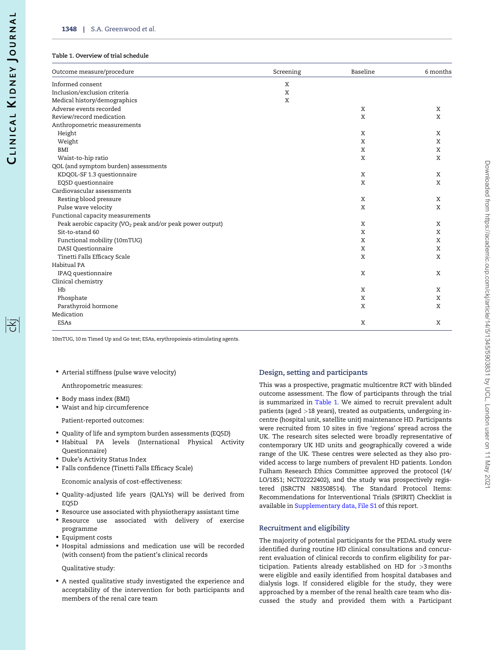#### <span id="page-3-0"></span>Table 1. Overview of trial schedule

| Outcome measure/procedure                                             | Screening | Baseline | 6 months |
|-----------------------------------------------------------------------|-----------|----------|----------|
| Informed consent                                                      | X         |          |          |
| Inclusion/exclusion criteria                                          | X         |          |          |
| Medical history/demographics                                          | X         |          |          |
| Adverse events recorded                                               |           | X        | X        |
| Review/record medication                                              |           | X        | X        |
| Anthropometric measurements                                           |           |          |          |
| Height                                                                |           | X        | X        |
| Weight                                                                |           | X        | X        |
| <b>BMI</b>                                                            |           | X        | X        |
| Waist-to-hip ratio                                                    |           | X        | X        |
| QOL (and symptom burden) assessments                                  |           |          |          |
| KDQOL-SF 1.3 questionnaire                                            |           | X        | X        |
| EQ5D questionnaire                                                    |           | X        | X        |
| Cardiovascular assessments                                            |           |          |          |
| Resting blood pressure                                                |           | X        | X        |
| Pulse wave velocity                                                   |           | X        | X        |
| Functional capacity measurements                                      |           |          |          |
| Peak aerobic capacity (VO <sub>2</sub> peak and/or peak power output) |           | X        | X        |
| Sit-to-stand 60                                                       |           | X        | X        |
| Functional mobility (10mTUG)                                          |           | X        | X        |
| <b>DASI</b> Questionnaire                                             |           | X        | X        |
| Tinetti Falls Efficacy Scale                                          |           | X        | X        |
| Habitual PA                                                           |           |          |          |
| IPAQ questionnaire                                                    |           | X        | X        |
| Clinical chemistry                                                    |           |          |          |
| Hb                                                                    |           | X        | X        |
| Phosphate                                                             |           | X        | X        |
| Parathyroid hormone                                                   |           | X        | X        |
| Medication                                                            |           |          |          |
| <b>ESAs</b>                                                           |           | X        | X        |

10mTUG, 10 m Timed Up and Go test; ESAs, erythropoiesis-stimulating agents.

• Arterial stiffness (pulse wave velocity)

Anthropometric measures:

- Body mass index (BMI)
- Waist and hip circumference

Patient-reported outcomes:

- Quality of life and symptom burden assessments (EQ5D)
- Habitual PA levels (International Physical Activity Questionnaire)
- Duke's Activity Status Index
- Falls confidence (Tinetti Falls Efficacy Scale)

Economic analysis of cost-effectiveness:

- Quality-adjusted life years (QALYs) will be derived from EQ5D
- Resource use associated with physiotherapy assistant time
- Resource use associated with delivery of exercise programme
- Equipment costs
- Hospital admissions and medication use will be recorded (with consent) from the patient's clinical records

Qualitative study:

• A nested qualitative study investigated the experience and acceptability of the intervention for both participants and members of the renal care team

## Design, setting and participants

This was a prospective, pragmatic multicentre RCT with blinded outcome assessment. The flow of participants through the trial is summarized in Table 1. We aimed to recruit prevalent adult patients (aged >18 years), treated as outpatients, undergoing incentre (hospital unit, satellite unit) maintenance HD. Participants were recruited from 10 sites in five 'regions' spread across the UK. The research sites selected were broadly representative of contemporary UK HD units and geographically covered a wide range of the UK. These centres were selected as they also provided access to large numbers of prevalent HD patients. London Fulham Research Ethics Committee approved the protocol (14/ LO/1851; NCT02222402), and the study was prospectively registered (ISRCTN N83508514). The Standard Protocol Items: Recommendations for Interventional Trials (SPIRIT) Checklist is available in [Supplementary data, File S1](https://academic.oup.com/ckj/article-lookup/doi/10.1093/ckj/sfaa107#supplementary-data) of this report.

## Recruitment and eligibility

The majority of potential participants for the PEDAL study were identified during routine HD clinical consultations and concurrent evaluation of clinical records to confirm eligibility for participation. Patients already established on HD for >3 months were eligible and easily identified from hospital databases and dialysis logs. If considered eligible for the study, they were approached by a member of the renal health care team who discussed the study and provided them with a Participant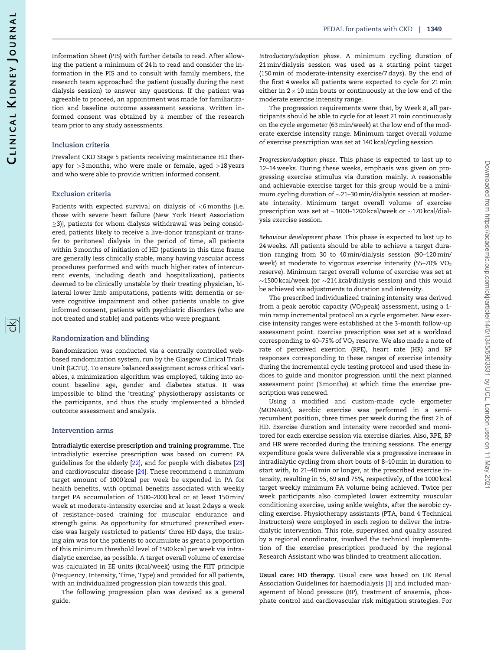<span id="page-4-0"></span>Information Sheet (PIS) with further details to read. After allowing the patient a minimum of 24 h to read and consider the information in the PIS and to consult with family members, the research team approached the patient (usually during the next dialysis session) to answer any questions. If the patient was agreeable to proceed, an appointment was made for familiarization and baseline outcome assessment sessions. Written informed consent was obtained by a member of the research team prior to any study assessments.

#### Inclusion criteria

Prevalent CKD Stage 5 patients receiving maintenance HD therapy for >3 months, who were male or female, aged >18 years and who were able to provide written informed consent.

#### Exclusion criteria

Patients with expected survival on dialysis of <6 months [i.e. those with severe heart failure (New York Heart Association  $\ge$ 3)], patients for whom dialysis withdrawal was being considered, patients likely to receive a live-donor transplant or transfer to peritoneal dialysis in the period of time, all patients within 3 months of initiation of HD (patients in this time frame are generally less clinically stable, many having vascular access procedures performed and with much higher rates of intercurrent events, including death and hospitalization), patients deemed to be clinically unstable by their treating physician, bilateral lower limb amputations, patients with dementia or severe cognitive impairment and other patients unable to give informed consent, patients with psychiatric disorders (who are not treated and stable) and patients who were pregnant.

#### Randomization and blinding

Randomization was conducted via a centrally controlled webbased randomization system, run by the Glasgow Clinical Trials Unit (GCTU). To ensure balanced assignment across critical variables, a minimization algorithm was employed, taking into account baseline age, gender and diabetes status. It was impossible to blind the 'treating' physiotherapy assistants or the participants, and thus the study implemented a blinded outcome assessment and analysis.

#### Intervention arms

Intradialytic exercise prescription and training programme. The intradialytic exercise prescription was based on current PA guidelines for the elderly [[22\]](#page-9-0), and for people with diabetes [\[23\]](#page-9-0) and cardiovascular disease [\[24\]](#page-9-0). These recommend a minimum target amount of 1000 kcal per week be expended in PA for health benefits, with optimal benefits associated with weekly target PA accumulation of 1500–2000 kcal or at least 150 min/ week at moderate-intensity exercise and at least 2 days a week of resistance-based training for muscular endurance and strength gains. As opportunity for structured prescribed exercise was largely restricted to patients' three HD days, the training aim was for the patients to accumulate as great a proportion of this minimum threshold level of 1500 kcal per week via intradialytic exercise, as possible. A target overall volume of exercise was calculated in EE units (kcal/week) using the FIIT principle (Frequency, Intensity, Time, Type) and provided for all patients, with an individualized progression plan towards this goal.

The following progression plan was devised as a general guide:

Introductory/adoption phase. A minimum cycling duration of 21 min/dialysis session was used as a starting point target (150 min of moderate-intensity exercise/7 days). By the end of the first 4 weeks all patients were expected to cycle for 21 min either in  $2 \times 10$  min bouts or continuously at the low end of the moderate exercise intensity range.

The progression requirements were that, by Week 8, all participants should be able to cycle for at least 21 min continuously on the cycle ergometer (63 min/week) at the low end of the moderate exercise intensity range. Minimum target overall volume of exercise prescription was set at 140 kcal/cycling session.

Progression/adoption phase. This phase is expected to last up to 12–14 weeks. During these weeks, emphasis was given on progressing exercise stimulus via duration mainly. A reasonable and achievable exercise target for this group would be a minimum cycling duration of  $\sim$ 21–30 min/dialysis session at moderate intensity. Minimum target overall volume of exercise prescription was set at  $\sim$ 1000–1200 kcal/week or  $\sim$ 170 kcal/dialysis exercise session.

Behaviour development phase. This phase is expected to last up to 24 weeks. All patients should be able to achieve a target duration ranging from 30 to 40 min/dialysis session (90–120 min/ week) at moderate to vigorous exercise intensity (55-70% VO<sub>2</sub> reserve). Minimum target overall volume of exercise was set at  $\sim$ 1500 kcal/week (or  $\sim$ 214 kcal/dialysis session) and this would be achieved via adjustments to duration and intensity.

The prescribed individualized training intensity was derived from a peak aerobic capacity (VO<sub>2</sub>peak) assessment, using a 1min ramp incremental protocol on a cycle ergometer. New exercise intensity ranges were established at the 3-month follow-up assessment point. Exercise prescription was set at a workload corresponding to 40–75% of VO<sub>2</sub> reserve. We also made a note of rate of perceived exertion (RPE), heart rate (HR) and BP responses corresponding to these ranges of exercise intensity during the incremental cycle testing protocol and used these indices to guide and monitor progression until the next planned assessment point (3 months) at which time the exercise prescription was renewed.

Using a modified and custom-made cycle ergometer (MONARK), aerobic exercise was performed in a semirecumbent position, three times per week during the first 2 h of HD. Exercise duration and intensity were recorded and monitored for each exercise session via exercise diaries. Also, RPE, BP and HR were recorded during the training sessions. The energy expenditure goals were deliverable via a progressive increase in intradialytic cycling from short bouts of 8–10 min in duration to start with, to 21–40 min or longer, at the prescribed exercise intensity, resulting in 55, 69 and 75%, respectively, of the 1000 kcal target weekly minimum PA volume being achieved. Twice per week participants also completed lower extremity muscular conditioning exercise, using ankle weights, after the aerobic cycling exercise. Physiotherapy assistants (PTA, band 4 Technical Instructors) were employed in each region to deliver the intradialytic intervention. This role, supervised and quality assured by a regional coordinator, involved the technical implementation of the exercise prescription produced by the regional Research Assistant who was blinded to treatment allocation.

Usual care: HD therapy. Usual care was based on UK Renal Association Guidelines for haemodialysis [[1\]](#page-8-0) and included management of blood pressure (BP), treatment of anaemia, phosphate control and cardiovascular risk mitigation strategies. For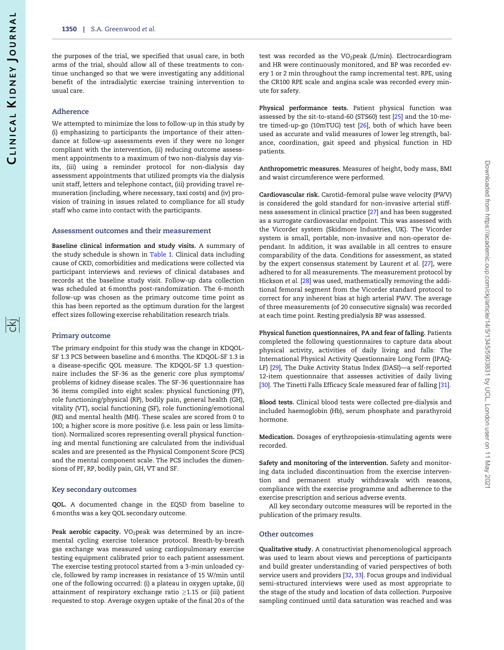<span id="page-5-0"></span>the purposes of the trial, we specified that usual care, in both arms of the trial, should allow all of these treatments to continue unchanged so that we were investigating any additional benefit of the intradialytic exercise training intervention to usual care.

#### Adherence

We attempted to minimize the loss to follow-up in this study by (i) emphasizing to participants the importance of their attendance at follow-up assessments even if they were no longer compliant with the intervention, (ii) reducing outcome assessment appointments to a maximum of two non-dialysis day visits, (iii) using a reminder protocol for non-dialysis day assessment appointments that utilized prompts via the dialysis unit staff, letters and telephone contact, (iii) providing travel remuneration (including, where necessary, taxi costs) and (iv) provision of training in issues related to compliance for all study staff who came into contact with the participants.

#### Assessment outcomes and their measurement

Baseline clinical information and study visits. A summary of the study schedule is shown in [Table 1](#page-3-0). Clinical data including cause of CKD, comorbidities and medications were collected via participant interviews and reviews of clinical databases and records at the baseline study visit. Follow-up data collection was scheduled at 6 months post-randomization. The 6-month follow-up was chosen as the primary outcome time point as this has been reported as the optimum duration for the largest effect sizes following exercise rehabilitation research trials.

#### Primary outcome

The primary endpoint for this study was the change in KDQOL-SF 1.3 PCS between baseline and 6 months. The KDQOL-SF 1.3 is a disease-specific QOL measure. The KDQOL-SF 1.3 questionnaire includes the SF-36 as the generic core plus symptoms/ problems of kidney disease scales. The SF-36 questionnaire has 36 items compiled into eight scales: physical functioning (PF), role functioning/physical (RP), bodily pain, general health (GH), vitality (VT), social functioning (SF), role functioning/emotional (RE) and mental health (MH). These scales are scored from 0 to 100; a higher score is more positive (i.e. less pain or less limitation). Normalized scores representing overall physical functioning and mental functioning are calculated from the individual scales and are presented as the Physical Component Score (PCS) and the mental component scale. The PCS includes the dimensions of PF, RP, bodily pain, GH, VT and SF.

#### Key secondary outcomes

QOL. A documented change in the EQ5D from baseline to 6 months was a key QOL secondary outcome.

Peak aerobic capacity.  $VO<sub>2</sub>peak$  was determined by an incremental cycling exercise tolerance protocol. Breath-by-breath gas exchange was measured using cardiopulmonary exercise testing equipment calibrated prior to each patient assessment. The exercise testing protocol started from a 3-min unloaded cycle, followed by ramp increases in resistance of 15 W/min until one of the following occurred: (i) a plateau in oxygen uptake, (ii) attainment of respiratory exchange ratio  $\geq$ 1.15 or (iii) patient requested to stop. Average oxygen uptake of the final 20 s of the

test was recorded as the VO<sub>2</sub>peak (L/min). Electrocardiogram and HR were continuously monitored, and BP was recorded every 1 or 2 min throughout the ramp incremental test. RPE, using the CR100 RPE scale and angina scale was recorded every minute for safety.

Physical performance tests. Patient physical function was assessed by the sit-to-stand-60 (STS60) test [\[25\]](#page-9-0) and the 10-metre timed-up-go (10mTUG) test [\[26\]](#page-9-0), both of which have been used as accurate and valid measures of lower leg strength, balance, coordination, gait speed and physical function in HD patients.

Anthropometric measures. Measures of height, body mass, BMI and waist circumference were performed.

Cardiovascular risk. Carotid–femoral pulse wave velocity (PWV) is considered the gold standard for non-invasive arterial stiffness assessment in clinical practice [[27\]](#page-9-0) and has been suggested as a surrogate cardiovascular endpoint. This was assessed with the Vicorder system (Skidmore Industries, UK). The Vicorder system is small, portable, non-invasive and non-operator dependant. In addition, it was available in all centres to ensure comparability of the data. Conditions for assessment, as stated by the expert consensus statement by Laurent et al. [[27\]](#page-9-0), were adhered to for all measurements. The measurement protocol by Hickson et al. [[28\]](#page-9-0) was used, mathematically removing the additional femoral segment from the Vicorder standard protocol to correct for any inherent bias at high arterial PWV. The average of three measurements (of 20 consecutive signals) was recorded at each time point. Resting predialysis BP was assessed.

Physical function questionnaires, PA and fear of falling. Patients completed the following questionnaires to capture data about physical activity, activities of daily living and falls: The International Physical Activity Questionnaire Long Form (IPAQ-LF) [[29](#page-9-0)], The Duke Activity Status Index (DASI)—a self-reported 12-item questionnaire that assesses activities of daily living [\[30\]](#page-9-0). The Tinetti Falls Efficacy Scale measured fear of falling [[31\]](#page-9-0).

Blood tests. Clinical blood tests were collected pre-dialysis and included haemoglobin (Hb), serum phosphate and parathyroid hormone.

Medication. Dosages of erythropoiesis-stimulating agents were recorded.

Safety and monitoring of the intervention. Safety and monitoring data included discontinuation from the exercise intervention and permanent study withdrawals with reasons, compliance with the exercise programme and adherence to the exercise prescription and serious adverse events.

All key secondary outcome measures will be reported in the publication of the primary results.

#### Other outcomes

Qualitative study. A constructivist phenomenological approach was used to learn about views and perceptions of participants and build greater understanding of varied perspectives of both service users and providers [\[32](#page-9-0), [33\]](#page-9-0). Focus groups and individual semi-structured interviews were used as most appropriate to the stage of the study and location of data collection. Purposive sampling continued until data saturation was reached and was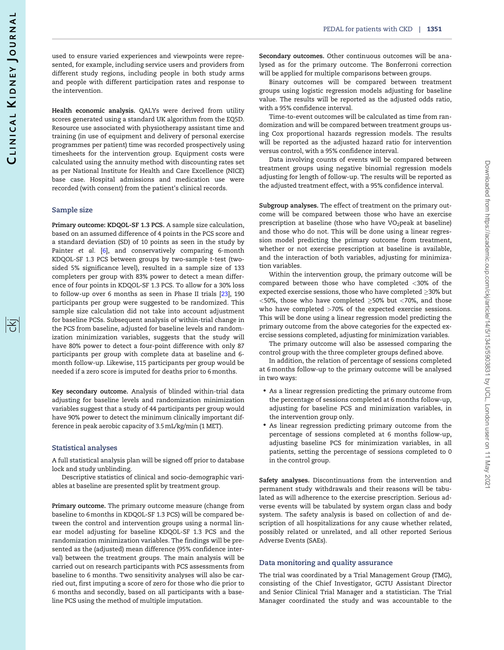序

used to ensure varied experiences and viewpoints were represented, for example, including service users and providers from different study regions, including people in both study arms and people with different participation rates and response to the intervention.

Health economic analysis. QALYs were derived from utility scores generated using a standard UK algorithm from the EQ5D. Resource use associated with physiotherapy assistant time and training (in use of equipment and delivery of personal exercise programmes per patient) time was recorded prospectively using timesheets for the intervention group. Equipment costs were calculated using the annuity method with discounting rates set as per National Institute for Health and Care Excellence (NICE) base case. Hospital admissions and medication use were recorded (with consent) from the patient's clinical records.

#### Sample size

Primary outcome: KDQOL-SF 1.3 PCS. A sample size calculation, based on an assumed difference of 4 points in the PCS score and a standard deviation (SD) of 10 points as seen in the study by Painter et al. [[6\]](#page-9-0), and conservatively comparing 6-month KDQOL-SF 1.3 PCS between groups by two-sample t-test (twosided 5% significance level), resulted in a sample size of 133 completers per group with 83% power to detect a mean difference of four points in KDQOL-SF 1.3 PCS. To allow for a 30% loss to follow-up over 6 months as seen in Phase II trials [[23](#page-9-0)], 190 participants per group were suggested to be randomized. This sample size calculation did not take into account adjustment for baseline PCSs. Subsequent analysis of within-trial change in the PCS from baseline, adjusted for baseline levels and randomization minimization variables, suggests that the study will have 80% power to detect a four-point difference with only 87 participants per group with complete data at baseline and 6 month follow-up. Likewise, 115 participants per group would be needed if a zero score is imputed for deaths prior to 6 months.

Key secondary outcome. Analysis of blinded within-trial data adjusting for baseline levels and randomization minimization variables suggest that a study of 44 participants per group would have 90% power to detect the minimum clinically important difference in peak aerobic capacity of 3.5 mL/kg/min (1 MET).

#### Statistical analyses

A full statistical analysis plan will be signed off prior to database lock and study unblinding.

Descriptive statistics of clinical and socio-demographic variables at baseline are presented split by treatment group.

Primary outcome. The primary outcome measure (change from baseline to 6 months in KDQOL-SF 1.3 PCS) will be compared between the control and intervention groups using a normal linear model adjusting for baseline KDQOL-SF 1.3 PCS and the randomization minimization variables. The findings will be presented as the (adjusted) mean difference (95% confidence interval) between the treatment groups. The main analysis will be carried out on research participants with PCS assessments from baseline to 6 months. Two sensitivity analyses will also be carried out, first imputing a score of zero for those who die prior to 6 months and secondly, based on all participants with a baseline PCS using the method of multiple imputation.

Secondary outcomes. Other continuous outcomes will be analysed as for the primary outcome. The Bonferroni correction will be applied for multiple comparisons between groups.

Binary outcomes will be compared between treatment groups using logistic regression models adjusting for baseline value. The results will be reported as the adjusted odds ratio, with a 95% confidence interval.

Time-to-event outcomes will be calculated as time from randomization and will be compared between treatment groups using Cox proportional hazards regression models. The results will be reported as the adjusted hazard ratio for intervention versus control, with a 95% confidence interval.

Data involving counts of events will be compared between treatment groups using negative binomial regression models adjusting for length of follow-up. The results will be reported as the adjusted treatment effect, with a 95% confidence interval.

Subgroup analyses. The effect of treatment on the primary outcome will be compared between those who have an exercise prescription at baseline (those who have VO<sub>2</sub>peak at baseline) and those who do not. This will be done using a linear regression model predicting the primary outcome from treatment, whether or not exercise prescription at baseline is available, and the interaction of both variables, adjusting for minimization variables.

Within the intervention group, the primary outcome will be compared between those who have completed <30% of the expected exercise sessions, those who have completed  $\geq$ 30% but  $<$ 50%, those who have completed  $\ge$ 50% but  $<$ 70%, and those who have completed >70% of the expected exercise sessions. This will be done using a linear regression model predicting the primary outcome from the above categories for the expected exercise sessions completed, adjusting for minimization variables.

The primary outcome will also be assessed comparing the control group with the three completer groups defined above.

In addition, the relation of percentage of sessions completed at 6 months follow-up to the primary outcome will be analysed in two ways:

- As a linear regression predicting the primary outcome from the percentage of sessions completed at 6 months follow-up, adjusting for baseline PCS and minimization variables, in the intervention group only.
- As linear regression predicting primary outcome from the percentage of sessions completed at 6 months follow-up, adjusting baseline PCS for minimization variables, in all patients, setting the percentage of sessions completed to 0 in the control group.

Safety analyses. Discontinuations from the intervention and permanent study withdrawals and their reasons will be tabulated as will adherence to the exercise prescription. Serious adverse events will be tabulated by system organ class and body system. The safety analysis is based on collection of and description of all hospitalizations for any cause whether related, possibly related or unrelated, and all other reported Serious Adverse Events (SAEs).

#### Data monitoring and quality assurance

The trial was coordinated by a Trial Management Group (TMG), consisting of the Chief Investigator, GCTU Assistant Director and Senior Clinical Trial Manager and a statistician. The Trial Manager coordinated the study and was accountable to the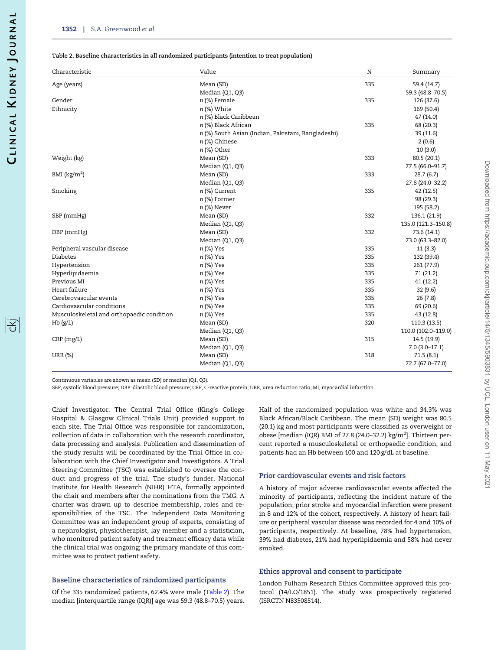| Characteristic                            | Value                                              | N   | Summary             |
|-------------------------------------------|----------------------------------------------------|-----|---------------------|
| Age (years)                               | Mean (SD)                                          | 335 | 59.4 (14.7)         |
|                                           | Median (Q1, Q3)                                    |     | 59.3 (48.8-70.5)    |
| Gender                                    | n (%) Female                                       | 335 | 126 (37.6)          |
| Ethnicity                                 | n (%) White                                        |     | 169 (50.4)          |
|                                           | n (%) Black Caribbean                              |     | 47 (14.0)           |
|                                           | n (%) Black African                                | 335 | 68 (20.3)           |
|                                           | n (%) South Asian (Indian, Pakistani, Bangladeshi) |     | 39 (11.6)           |
|                                           | n (%) Chinese                                      |     | 2(0.6)              |
|                                           | n (%) Other                                        |     | 10(3.0)             |
| Weight (kg)                               | Mean (SD)                                          | 333 | 80.5 (20.1)         |
|                                           | Median (Q1, Q3)                                    |     | 77.5 (66.0-91.7)    |
| BMI $(kg/m2)$                             | Mean (SD)                                          | 333 | 28.7(6.7)           |
|                                           | Median (Q1, Q3)                                    |     | 27.8 (24.0-32.2)    |
| Smoking                                   | n (%) Current                                      | 335 | 42 (12.5)           |
|                                           | n (%) Former                                       |     | 98 (29.3)           |
|                                           | n (%) Never                                        |     | 195 (58.2)          |
| SBP (mmHg)                                | Mean (SD)                                          | 332 | 136.1 (21.9)        |
|                                           | Median (Q1, Q3)                                    |     | 135.0 (121.3-150.8) |
| DBP (mmHg)                                | Mean (SD)                                          | 332 | 73.6 (14.1)         |
|                                           | Median (Q1, Q3)                                    |     | 73.0 (63.3-82.0)    |
| Peripheral vascular disease               | n (%) Yes                                          | 335 | 11(3.3)             |
| <b>Diabetes</b>                           | n (%) Yes                                          | 335 | 132 (39.4)          |
| Hypertension                              | n (%) Yes                                          | 335 | 261 (77.9)          |
| Hyperlipidaemia                           | n (%) Yes                                          | 335 | 71 (21.2)           |
| Previous MI                               | n (%) Yes                                          | 335 | 41 (12.2)           |
| Heart failure                             | n (%) Yes                                          | 335 | 32(9.6)             |
| Cerebrovascular events                    | n (%) Yes                                          | 335 | 26(7.8)             |
| Cardiovascular conditions                 | n (%) Yes                                          | 335 | 69 (20.6)           |
| Musculoskeletal and orthopaedic condition | n (%) Yes                                          | 335 | 43 (12.8)           |
| Hb(g/L)                                   | Mean (SD)                                          | 320 | 110.3 (13.5)        |
|                                           | Median (Q1, Q3)                                    |     | 110.0 (102.0-119.0) |
| CRP(mg/L)                                 | Mean (SD)                                          | 315 | 14.5 (19.9)         |
|                                           | Median (Q1, Q3)                                    |     | $7.0(3.0-17.1)$     |
| URR (%)                                   | Mean (SD)                                          | 318 | 71.5(8.1)           |
|                                           | Median (Q1, Q3)                                    |     | 72.7 (67.0-77.0)    |

Continuous variables are shown as mean (SD) or median (Q1, Q3).

SBP, systolic blood pressure; DBP: diastolic blood pressure; CRP, C-reactive protein; URR, urea reduction ratio; MI, myocardial infarction.

Chief Investigator. The Central Trial Office (King's College Hospital & Glasgow Clinical Trials Unit) provided support to each site. The Trial Office was responsible for randomization, collection of data in collaboration with the research coordinator, data processing and analysis. Publication and dissemination of the study results will be coordinated by the Trial Office in collaboration with the Chief Investigator and Investigators. A Trial Steering Committee (TSC) was established to oversee the conduct and progress of the trial. The study's funder, National Institute for Health Research (NIHR) HTA, formally appointed the chair and members after the nominations from the TMG. A charter was drawn up to describe membership, roles and responsibilities of the TSC. The Independent Data Monitoring Committee was an independent group of experts, consisting of a nephrologist, physiotherapist, lay member and a statistician, who monitored patient safety and treatment efficacy data while the clinical trial was ongoing; the primary mandate of this committee was to protect patient safety.

#### Baseline characteristics of randomized participants

Of the 335 randomized patients, 62.4% were male (Table 2). The median [interquartile range (IQR)] age was 59.3 (48.8–70.5) years. Half of the randomized population was white and 34.3% was Black African/Black Caribbean. The mean (SD) weight was 80.5 (20.1) kg and most participants were classified as overweight or obese [median (IQR) BMI of 27.8 (24.0–32.2) kg/m<sup>2</sup>]. Thirteen percent reported a musculoskeletal or orthopaedic condition, and patients had an Hb between 100 and 120 g/dL at baseline.

#### Prior cardiovascular events and risk factors

A history of major adverse cardiovascular events affected the minority of participants, reflecting the incident nature of the population; prior stroke and myocardial infarction were present in 8 and 12% of the cohort, respectively. A history of heart failure or peripheral vascular disease was recorded for 4 and 10% of participants, respectively. At baseline, 78% had hypertension, 39% had diabetes, 21% had hyperlipidaemia and 58% had never smoked.

#### Ethics approval and consent to participate

London Fulham Research Ethics Committee approved this protocol (14/LO/1851). The study was prospectively registered (ISRCTN N83508514).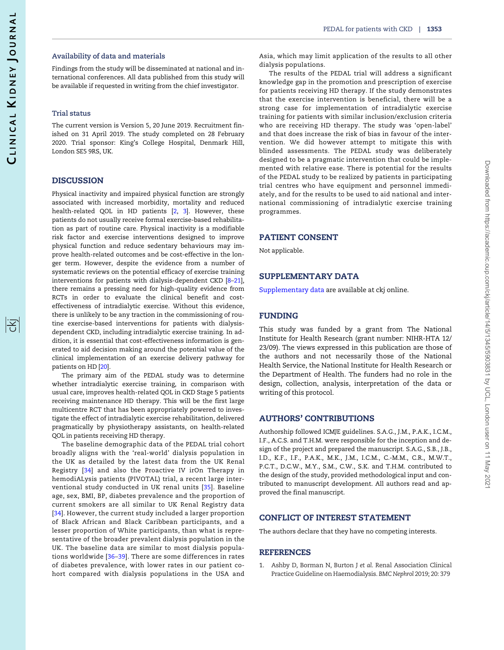序

<span id="page-8-0"></span>Findings from the study will be disseminated at national and international conferences. All data published from this study will be available if requested in writing from the chief investigator.

#### Trial status

The current version is Version 5, 20 June 2019. Recruitment finished on 31 April 2019. The study completed on 28 February 2020. Trial sponsor: King's College Hospital, Denmark Hill, London SE5 9RS, UK.

## **DISCUSSION**

Physical inactivity and impaired physical function are strongly associated with increased morbidity, mortality and reduced health-related QOL in HD patients [[2,](#page-9-0) [3\]](#page-9-0). However, these patients do not usually receive formal exercise-based rehabilitation as part of routine care. Physical inactivity is a modifiable risk factor and exercise interventions designed to improve physical function and reduce sedentary behaviours may improve health-related outcomes and be cost-effective in the longer term. However, despite the evidence from a number of systematic reviews on the potential efficacy of exercise training interventions for patients with dialysis-dependent CKD [[8–21\]](#page-9-0), there remains a pressing need for high-quality evidence from RCTs in order to evaluate the clinical benefit and costeffectiveness of intradialytic exercise. Without this evidence, there is unlikely to be any traction in the commissioning of routine exercise-based interventions for patients with dialysisdependent CKD, including intradialytic exercise training. In addition, it is essential that cost-effectiveness information is generated to aid decision making around the potential value of the clinical implementation of an exercise delivery pathway for patients on HD [\[20](#page-9-0)].

The primary aim of the PEDAL study was to determine whether intradialytic exercise training, in comparison with usual care, improves health-related QOL in CKD Stage 5 patients receiving maintenance HD therapy. This will be the first large multicentre RCT that has been appropriately powered to investigate the effect of intradialytic exercise rehabilitation, delivered pragmatically by physiotherapy assistants, on health-related QOL in patients receiving HD therapy.

The baseline demographic data of the PEDAL trial cohort broadly aligns with the 'real-world' dialysis population in the UK as detailed by the latest data from the UK Renal Registry [[34\]](#page-9-0) and also the Proactive IV irOn Therapy in hemodiALysis patients (PIVOTAL) trial, a recent large interventional study conducted in UK renal units [[35](#page-9-0)]. Baseline age, sex, BMI, BP, diabetes prevalence and the proportion of current smokers are all similar to UK Renal Registry data [[34\]](#page-9-0). However, the current study included a larger proportion of Black African and Black Caribbean participants, and a lesser proportion of White participants, than what is representative of the broader prevalent dialysis population in the UK. The baseline data are similar to most dialysis populations worldwide [[36–](#page-9-0)[39\]](#page-10-0). There are some differences in rates of diabetes prevalence, with lower rates in our patient cohort compared with dialysis populations in the USA and

Asia, which may limit application of the results to all other dialysis populations.

The results of the PEDAL trial will address a significant knowledge gap in the promotion and prescription of exercise for patients receiving HD therapy. If the study demonstrates that the exercise intervention is beneficial, there will be a strong case for implementation of intradialytic exercise training for patients with similar inclusion/exclusion criteria who are receiving HD therapy. The study was 'open-label' and that does increase the risk of bias in favour of the intervention. We did however attempt to mitigate this with blinded assessments. The PEDAL study was deliberately designed to be a pragmatic intervention that could be implemented with relative ease. There is potential for the results of the PEDAL study to be realized by patients in participating trial centres who have equipment and personnel immediately, and for the results to be used to aid national and international commissioning of intradialytic exercise training programmes.

## PATIENT CONSENT

Not applicable.

#### SUPPLEMENTARY DATA

[Supplementary data](https://academic.oup.com/ckj/article-lookup/doi/10.1093/ckj/sfaa107#supplementary-data) are available at ckj online.

#### FUNDING

This study was funded by a grant from The National Institute for Health Research (grant number: NIHR-HTA 12/ 23/09). The views expressed in this publication are those of the authors and not necessarily those of the National Health Service, the National Institute for Health Research or the Department of Health. The funders had no role in the design, collection, analysis, interpretation of the data or writing of this protocol.

#### AUTHORS' CONTRIBUTIONS

Authorship followed ICMJE guidelines. S.A.G., J.M., P.A.K., I.C.M., I.F., A.C.S. and T.H.M. were responsible for the inception and design of the project and prepared the manuscript. S.A.G., S.B., J.B., I.D., K.F., I.F., P.A.K., M.K., J.M., I.C.M., C.-M.M., C.R., M.W.T., P.C.T., D.C.W., M.Y., S.M., C.W., S.K. and T.H.M. contributed to the design of the study, provided methodological input and contributed to manuscript development. All authors read and approved the final manuscript.

#### CONFLICT OF INTEREST STATEMENT

The authors declare that they have no competing interests.

#### REFERENCES

[1](#page-2-0). Ashby D, Borman N, Burton J et al. Renal Association Clinical Practice Guideline on Haemodialysis. BMC Nephrol 2019; 20: 379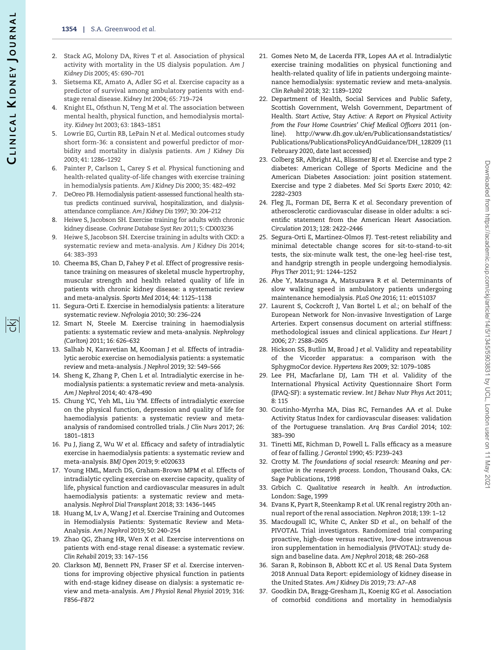- <span id="page-9-0"></span>[2](#page-2-0). Stack AG, Molony DA, Rives T et al. Association of physical activity with mortality in the US dialysis population. Am J Kidney Dis 2005; 45: 690–701
- [3](#page-2-0). Sietsema KE, Amato A, Adler SG et al. Exercise capacity as a predictor of survival among ambulatory patients with endstage renal disease. Kidney Int 2004; 65: 719–724
- [4](#page-2-0). Knight EL, Ofsthun N, Teng M et al. The association between mental health, physical function, and hemodialysis mortality. Kidney Int 2003; 63: 1843–1851
- [5](#page-2-0). Lowrie EG, Curtin RB, LePain N et al. Medical outcomes study short form-36: a consistent and powerful predictor of morbidity and mortality in dialysis patients. Am J Kidney Dis 2003; 41: 1286–1292
- [6](#page-2-0). Painter P, Carlson L, Carey S et al. Physical functioning and health-related quality-of-life changes with exercise training in hemodialysis patients. Am J Kidney Dis 2000; 35: 482–492
- [7](#page-2-0). DeOreo PB. Hemodialysis patient-assessed functional health status predicts continued survival, hospitalization, and dialysisattendance compliance. Am J Kidney Dis 1997; 30: 204–212
- [8](#page-2-0). Heiwe S, Jacobson SH. Exercise training for adults with chronic kidney disease. Cochrane Database Syst Rev 2011; 5: CD003236
- 9. Heiwe S, Jacobson SH. Exercise training in adults with CKD: a systematic review and meta-analysis. Am J Kidney Dis 2014; 64: 383–393
- 10. Cheema BS, Chan D, Fahey P et al. Effect of progressive resistance training on measures of skeletal muscle hypertrophy, muscular strength and health related quality of life in patients with chronic kidney disease: a systematic review and meta-analysis. Sports Med 2014; 44: 1125–1138
- 11. Segura-Orti E. Exercise in hemodialysis patients: a literature systematic review. Nefrologia 2010; 30: 236–224
- 12. Smart N, Steele M. Exercise training in haemodialysis patients: a systematic review and meta-analysis. Nephrology (Carlton) 2011; 16: 626–632
- 13. Salhab N, Karavetian M, Kooman J et al. Effects of intradialytic aerobic exercise on hemodialysis patients: a systematic review and meta-analysis. J Nephrol 2019; 32: 549–566
- 14. Sheng K, Zhang P, Chen L et al. Intradialytic exercise in hemodialysis patients: a systematic review and meta-analysis. Am J Nephrol 2014; 40: 478–490
- [15](#page-2-0). Chung YC, Yeh ML, Liu YM. Effects of intradialytic exercise on the physical function, depression and quality of life for haemodialysis patients: a systematic review and metaanalysis of randomised controlled trials. J Clin Nurs 2017; 26: 1801–1813
- [16](#page-2-0). Pu J, Jiang Z, Wu W et al. Efficacy and safety of intradialytic exercise in haemodialysis patients: a systematic review and meta-analysis. BMJ Open 2019; 9: e020633
- [17](#page-2-0). Young HML, March DS, Graham-Brown MPM et al. Effects of intradialytic cycling exercise on exercise capacity, quality of life, physical function and cardiovascular measures in adult haemodialysis patients: a systematic review and metaanalysis. Nephrol Dial Transplant 2018; 33: 1436–1445
- 18. Huang M, Lv A, Wang J et al. Exercise Training and Outcomes in Hemodialysis Patients: Systematic Review and Meta-Analysis. Am J Nephrol 2019; 50: 240–254
- 19. Zhao QG, Zhang HR, Wen X et al. Exercise interventions on patients with end-stage renal disease: a systematic review. Clin Rehabil 2019; 33: 147–156
- [20](#page-2-0). Clarkson MJ, Bennett PN, Fraser SF et al. Exercise interventions for improving objective physical function in patients with end-stage kidney disease on dialysis: a systematic review and meta-analysis. Am J Physiol Renal Physiol 2019; 316: F856–F872
- [21](#page-2-0). Gomes Neto M, de Lacerda FFR, Lopes AA et al. Intradialytic exercise training modalities on physical functioning and health-related quality of life in patients undergoing maintenance hemodialysis: systematic review and meta-analysis. Clin Rehabil 2018; 32: 1189–1202
- [22](#page-4-0). Department of Health, Social Services and Public Safety, Scottish Government, Welsh Government, Department of Health. Start Active, Stay Active: A Report on Physical Activity from the Four Home Countries' Chief Medical Officers 2011 (online). [http://www.dh.gov.uk/en/Publicationsandstatistics/](http://www.dh.gov.uk/en/Publicationsandstatistics/Publications/PublicationsPolicyAndGuidance/DH_128209) [Publications/PublicationsPolicyAndGuidance/DH\\_128209 \(11](http://www.dh.gov.uk/en/Publicationsandstatistics/Publications/PublicationsPolicyAndGuidance/DH_128209) [February 2020, date last accessed\)](http://www.dh.gov.uk/en/Publicationsandstatistics/Publications/PublicationsPolicyAndGuidance/DH_128209)
- [23](#page-4-0). Colberg SR, Albright AL, Blissmer BJ et al. Exercise and type 2 diabetes: American College of Sports Medicine and the American Diabetes Association: joint position statement. Exercise and type 2 diabetes. Med Sci Sports Exerc 2010; 42: 2282–2303
- [24](#page-4-0). Fleg JL, Forman DE, Berra K et al. Secondary prevention of atherosclerotic cardiovascular disease in older adults: a scientific statement from the American Heart Association. Circulation 2013; 128: 2422–2446
- [25](#page-5-0). Segura-Orti E, Martinez-Olmos FJ. Test-retest reliability and minimal detectable change scores for sit-to-stand-to-sit tests, the six-minute walk test, the one-leg heel-rise test, and handgrip strength in people undergoing hemodialysis. Phys Ther 2011; 91: 1244–1252
- [26](#page-5-0). Abe Y, Matsunaga A, Matsuzawa R et al. Determinants of slow walking speed in ambulatory patients undergoing maintenance hemodialysis. PLoS One 2016; 11: e0151037
- [27](#page-5-0). Laurent S, Cockcroft J, Van Bortel L et al.; on behalf of the European Network for Non-invasive Investigation of Large Arteries. Expert consensus document on arterial stiffness: methodological issues and clinical applications. Eur Heart J 2006; 27: 2588–2605
- [28](#page-5-0). Hickson SS, Butlin M, Broad J et al. Validity and repeatability of the Vicorder apparatus: a comparison with the SphygmoCor device. Hypertens Res 2009; 32: 1079–1085
- [29](#page-5-0). Lee PH, Macfarlane DJ, Lam TH et al. Validity of the International Physical Activity Questionnaire Short Form (IPAQ-SF): a systematic review. Int J Behav Nutr Phys Act 2011; 8: 115
- [30](#page-5-0). Coutinho-Myrrha MA, Dias RC, Fernandes AA et al. Duke Activity Status Index for cardiovascular diseases: validation of the Portuguese translation. Arq Bras Cardiol 2014; 102: 383–390
- [31](#page-5-0). Tinetti ME, Richman D, Powell L. Falls efficacy as a measure of fear of falling. J Gerontol 1990; 45: P239–243
- [32](#page-5-0). Crotty M. The foundations of social research: Meaning and perspective in the research process. London, Thousand Oaks, CA: Sage Publications, 1998
- [33](#page-5-0). Grbich C. Qualitative research in health. An introduction. London: Sage, 1999
- [34](#page-8-0). Evans K, Pyart R, Steenkamp R et al. UK renal registry 20th annual report of the renal association. Nephron 2018; 139: 1–12
- [35](#page-8-0). Macdougall IC, White C, Anker SD et al., on behalf of the PIVOTAL Trial investigators. Randomized trial comparing proactive, high-dose versus reactive, low-dose intravenous iron supplementation in hemodialysis (PIVOTAL): study design and baseline data. Am J Nephrol 2018; 48: 260–268
- 36. Saran R, Robinson B, Abbott KC et al. US Renal Data System 2018 Annual Data Report: epidemiology of kidney disease in the United States. Am J Kidney Dis 2019; 73: A7–A8
- 37. Goodkin DA, Bragg-Gresham JL, Koenig KG et al. Association of comorbid conditions and mortality in hemodialysis